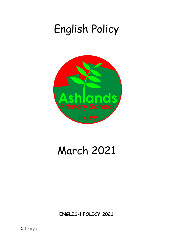# English Policy



# March 2021

**ENGLISH POLICY 2021**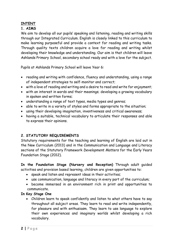# **INTENT**

# **1. AIMS**

We aim to develop all our pupils' speaking and listening, reading and writing skills through our Integrated Curriculum. English is closely linked to this curriculum to make learning purposeful and provide a context for reading and writing tasks. Through quality texts children acquire a love for reading and writing whilst developing their knowledge and understanding. Our aim is that children will leave Ashlands Primary School, secondary school ready and with a love for the subject.

Pupils at Ashlands Primary School will leave Year 6:

- reading and writing with confidence, fluency and understanding, using a range of independent strategies to self-monitor and correct;
- with a love of reading and writing and a desire to read and write for enjoyment;
- with an interest in words and their meanings; developing a growing vocabulary in spoken and written forms;
- understanding a range of text types, media types and genres;
- able to write in a variety of styles and forms appropriate to the situation;
- using their developing imagination, inventiveness and critical awareness;
- having a suitable, technical vocabulary to articulate their responses and able to express their opinions.

#### **2. STATUTORY REQUIREMENTS**

Statutory requirements for the teaching and learning of English are laid out in the New Curriculum (2013) and in the Communication and Language and Literacy sections of the Statutory Framework *Development Matters* for the Early Years Foundation Stage (2012).

**In the Foundation Stage (Nursery and Reception)** Through adult guided activities and provision based learning, children are given opportunities to:

- speak and listen and represent ideas in their activities;
- use communication, language and literacy in every part of the curriculum;
- become immersed in an environment rich in print and opportunities to communicate.

#### **In Key Stage One**

• Children learn to speak confidently and listen to what others have to say throughout all subject areas. They learn to read and write independently, for pleasure and with enthusiasm. They learn to use language to explore their own experiences and imaginary worlds whilst developing a rich vocabulary.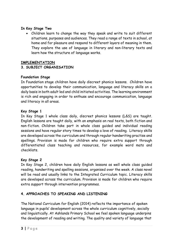#### **In Key Stage Two**

• Children learn to change the way they speak and write to suit different situations, purposes and audiences. They read a range of texts in school, at home and for pleasure and respond to different layers of meaning in them. They explore the use of language in literary and non-literary texts and learn how the structure of language works.

# **IMPLEMENTATION**

# **3. SUBJECT ORGANISATION**

#### **Foundation Stage**

In Foundation stage children have daily discreet phonics lessons. Children have opportunities to develop their communication, language and literacy skills on a daily basis in both adult led and child initiated activities. The learning environment is rich and engaging in order to enthuse and encourage communication, language and literacy in all areas.

#### **Key Stage 1**

In Key Stage 1 whole class daily, discreet phonics lessons (L&S) are taught. English lessons are taught daily, with an emphasis on real texts, both fiction and non-fiction. Children take part in whole class guided and individual reading sessions and have regular story times to develop a love of reading. Literacy skills are developed across the curriculum and through regular handwriting practise and spellings. Provision is made for children who require extra support through differentiated class teaching and resources, for example word mats and checklists.

#### **Key Stage 2**

In Key Stage 2, children have daily English lessons as well whole class guided reading, handwriting and spelling sessions, organised over the week. A class novel will be read and usually links to the Integrated Curriculum topic. Literacy skills are developed across the curriculum. Provision is made for children who require extra support through intervention programmes.

#### **4. APPROACHES TO SPEAKING AND LISTENING**

The National Curriculum for English (2014) reflects the importance of spoken language in pupils' development across the whole curriculum cognitively, socially and linguistically. At Ashlands Primary School we feel spoken language underpins the development of reading and writing. The quality and variety of language that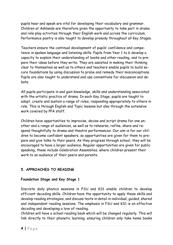pupils hear and speak are vital for developing their vocabulary and grammar. Children at Ashlands are therefore given the opportunity to take part in drama and role play activities through their English work and across the curriculum. Performance poetry is also taught to develop prosody throughout all Key Stages.

Teachers ensure the continual development of pupils' confidence and competence in spoken language and listening skills. Pupils from Year 1 to 6 develop a capacity to explain their understanding of books and other reading, and to prepare their ideas before they write. They are assisted in making their thinking clear to themselves as well as to others and teachers enable pupils to build secure foundations by using discussion to probe and remedy their misconceptions. Pupils are also taught to understand and use conventions for discussion and debate.

All pupils participate in and gain knowledge, skills and understanding associated with the artistic practice of drama. In each Key Stage, pupils are taught to adopt, create and sustain a range of roles, responding appropriately to others in role. This is through English and Topic lessons but also through the extensive work covered by PPA staff.

Children have opportunities to improvise, devise and script drama for one another and a range of audiences, as well as to rehearse, refine, share and respond thoughtfully to drama and theatre performances. Our aim is for our children to become confident speakers, so opportunities are given for them to prepare and give talks to their peers. As they progress through school, they will be encouraged to have a larger audience. Regular opportunities are given for public speaking, these include Celebration Assemblies, where children present their work to an audience of their peers and parents.

# **5. APPROACHES TO READING**

#### **Foundation Stage and Key Stage 1**

Discrete daily phonics sessions in FSU and KS1 enable children to develop efficient decoding skills. Children have the opportunity to apply these skills and develop reading strategies, and discuss texts in detail in individual, guided, shared and independent reading sessions. The emphasis in FSU and KS1 is on effective decoding and developing a love of reading.

Children will have a school reading book which will be changed regularly. This will link directly to their phonetic learning, ensuring children only take home books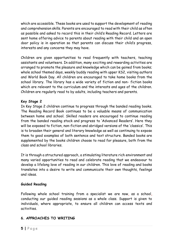which are accessible. These books are used to support the development of reading and comprehension skills. Parents are encouraged to read with their child as often as possible and asked to record this in their child's Reading Record. Letters are sent home offering advice to parents about reading with their child and an open door policy is in operation so that parents can discuss their child's progress, interests and any concerns they may have.

Children are given opportunities to read frequently with teachers, teaching assistants and volunteers. In addition, many exciting and rewarding activities are arranged to promote the pleasure and knowledge which can be gained from books; whole school themed days, weekly buddy reading with upper KS2, visiting authors and World Book Day. All children are encouraged to take home books from the school library. The library has a wide variety of fiction and non- fiction books which are relevant to the curriculum and the interests and ages of the children. Children are regularly read to by adults, including teachers and parents.

#### **Key Stage 2**

In Key Stage 2 children continue to progress through the banded reading books. The Reading Record Book continues to be a valuable means of communication between home and school. Skilled readers are encouraged to continue reading from the banded reading stock and progress to 'Advanced Readers'. Here they will be exposed to fiction, non-fiction and abridged versions of the 'classics'. This is to broaden their general and literary knowledge as well as continuing to expose them to good examples of both sentence and text structure. Banded books are supplemented by the books children choose to read for pleasure, both from the class and school libraries.

It is through a structured approach, a stimulating literature rich environment and many varied opportunities to read and celebrate reading that we endeavour to develop a lifelong love of reading in our children. This love of reading and books translates into a desire to write and communicate their own thoughts, feelings and ideas.

#### **Guided Reading**

Following whole school training from a specialist we are now, as a school, conducting our guided reading sessions as a whole class. Support is given to individuals, where appropriate, to ensure all children can access texts and activities.

#### **6. APPROACHES TO WRITING**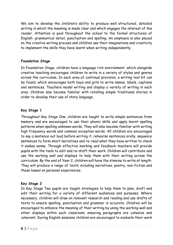We aim to develop the children's ability to produce well structured, detailed writing in which the meaning is made clear and which engages the interest of the reader. Attention is paid throughout the school to the formal structures of English: grammatical detail, punctuation and spelling. An emphasis is also placed on the creative writing process and children use their imaginations and creativity to implement the skills they have learnt when writing independently.

#### **Foundation Stage**

In Foundation Stage, children have a language rich environment, which alongside creative teaching encourages children to write in a variety of styles and genres across the curriculum. In each area of continual provision, a writing tool kit can be found, which encourages both boys and girls to write names, labels, captions and sentences. Teachers model writing and display a variety of writing in each area. Children also become familiar with retelling simple traditional stories in order to develop their use of story language.

# **Key Stage 1**

Throughout Key Stage One, children are taught to write simple sentences from memory and are encouraged to use their phonic skills and apply learnt spelling patterns when spelling unknown words. They will also become familiar with writing high frequency words and common exception words. All children are encouraged to say a sentence out loud before writing it, rehearse sentences orally, sequence sentences to form short narratives and re-read what they have written to check it makes sense. Through effective marking and feedback teachers will provide pupils with the tools to edit and re-draft their work. Children will contribute and use the working wall and displays to help them with their writing across the curriculum. By the end of Year 2, children will have the stamina to write at length. They will produce a range of texts including narratives, poetry, non-fiction and those based on personal experiences.

#### **Key Stage 2**

In Key Stage Two pupils are taught strategies to help them to plan, draft and edit their writing for a variety of different audiences and purposes. Where necessary, children will draw on relevant research and reading and use drafts of texts to ensure spelling, punctuation and grammar is accurate. Children will be encouraged to enhance the meaning of their writing by using the working wall and other displays within each classroom; ensuring paragraphs are cohesive and coherent. During English sessions children are encouraged to evaluate their work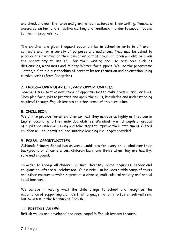and check and edit the tense and grammatical features of their writing. Teachers ensure consistent and effective marking and feedback in order to support pupils further in progressing.

The children are given frequent opportunities in school to write in different contexts and for a variety of purposes and audiences. They may be asked to produce their writing on their own or as part of group. Children will also be given the opportunity to use ICT for their writing and use resources such as dictionaries, word mats and 'Mighty Writer' for support. We use the programme 'Letterjoin' to aid our teaching of correct letter formation and orientation using cursive script (from Reception).

# **7. CROSS-CURRICULAR LITERACY OPPORTUNITIES**

Teachers seek to take advantage of opportunities to make cross-curricular links. They plan for pupils to practise and apply the skills, knowledge and understanding acquired through English lessons to other areas of the curriculum.

# **8. INCLUSION**

We aim to provide for all children so that they achieve as highly as they can in English according to their individual abilities. We identify which pupils or groups of pupils are under-achieving and take steps to improve their attainment. Gifted children will be identified, and suitable learning challenges provided.

# **9. EQUAL OPPORTUNITIES**

Ashlands Primary School has universal ambitions for every child, whatever their background or circumstances. Children learn and thrive when they are healthy, safe and engaged.

In order to engage all children, cultural diversity, home languages, gender and religious beliefs are all celebrated. Our curriculum includes a wide range of texts and other resources which represent a diverse, multicultural society and appeal to all learners.

We believe in 'valuing what the child brings to school' and recognise the importance of supporting a child's first language, not only to foster self-esteem, but to assist in the learning of English.

#### **11. BRITISH VALUES**

British values are developed and encouraged in English lessons through: